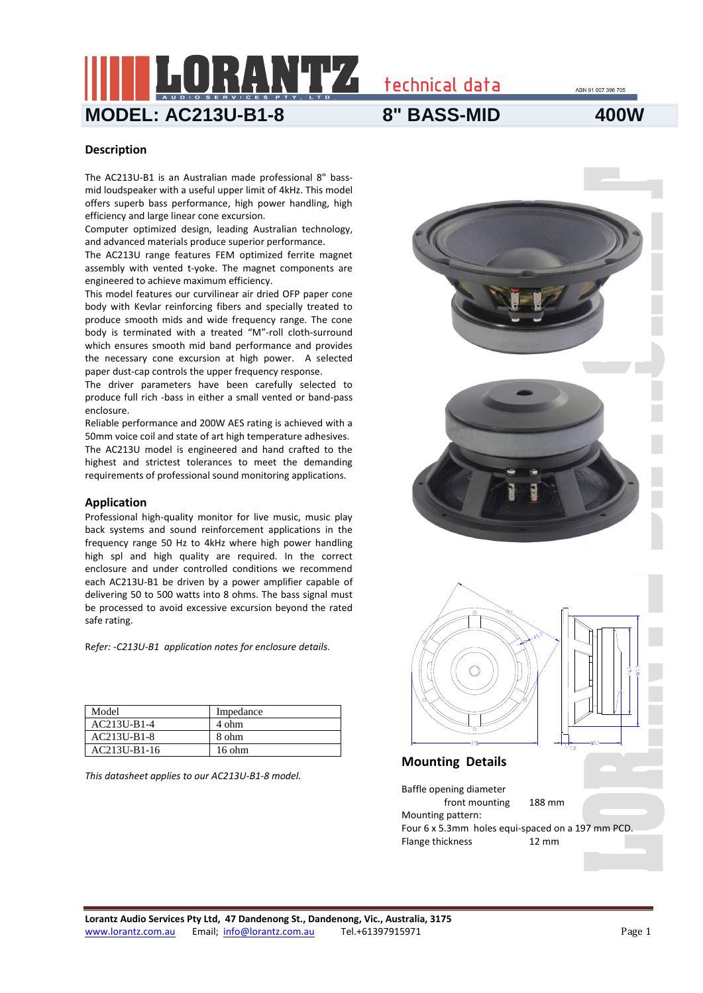technical data

ABN 91 007 396 705

**MODEL: AC213U-B1-8 8" BASS-MID 400W**

### **Description**

The AC213U-B1 is an Australian made professional 8" bassmid loudspeaker with a useful upper limit of 4kHz. This model offers superb bass performance, high power handling, high efficiency and large linear cone excursion.

Computer optimized design, leading Australian technology, and advanced materials produce superior performance.

The AC213U range features FEM optimized ferrite magnet assembly with vented t-yoke. The magnet components are engineered to achieve maximum efficiency.

This model features our curvilinear air dried OFP paper cone body with Kevlar reinforcing fibers and specially treated to produce smooth mids and wide frequency range. The cone body is terminated with a treated "M"-roll cloth-surround which ensures smooth mid band performance and provides the necessary cone excursion at high power. A selected paper dust-cap controls the upper frequency response.

The driver parameters have been carefully selected to produce full rich -bass in either a small vented or band-pass enclosure.

Reliable performance and 200W AES rating is achieved with a 50mm voice coil and state of art high temperature adhesives. The AC213U model is engineered and hand crafted to the highest and strictest tolerances to meet the demanding requirements of professional sound monitoring applications.

#### **Application**

Professional high-quality monitor for live music, music play back systems and sound reinforcement applications in the frequency range 50 Hz to 4kHz where high power handling high spl and high quality are required. In the correct enclosure and under controlled conditions we recommend each AC213U-B1 be driven by a power amplifier capable of delivering 50 to 500 watts into 8 ohms. The bass signal must be processed to avoid excessive excursion beyond the rated safe rating.

R*efer: -C213U-B1 application notes for enclosure details.*

| Model         | Impedance |
|---------------|-----------|
| $AC213U-B1-4$ | 4 ohm     |
| AC213U-B1-8   | 8 ohm     |
| AC213U-B1-16  | 16 ohm    |

*This datasheet applies to our AC213U-B1-8 model.*